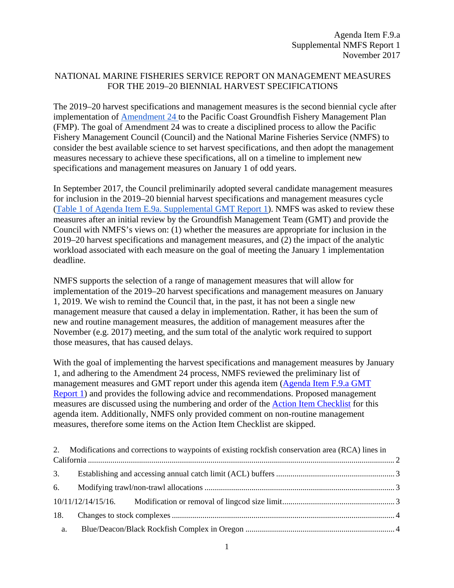# NATIONAL MARINE FISHERIES SERVICE REPORT ON MANAGEMENT MEASURES FOR THE 2019–20 BIENNIAL HARVEST SPECIFICATIONS

The 2019–20 harvest specifications and management measures is the second biennial cycle after implementation of [Amendment 24](https://www.pcouncil.org/groundfish/fishery-management-plan/fmp-amendment-24/) to the Pacific Coast Groundfish Fishery Management Plan (FMP). The goal of Amendment 24 was to create a disciplined process to allow the Pacific Fishery Management Council (Council) and the National Marine Fisheries Service (NMFS) to consider the best available science to set harvest specifications, and then adopt the management measures necessary to achieve these specifications, all on a timeline to implement new specifications and management measures on January 1 of odd years.

In September 2017, the Council preliminarily adopted several candidate management measures for inclusion in the 2019–20 biennial harvest specifications and management measures cycle [\(Table 1 of Agenda Item E.9a. Supplemental GMT Report 1\)](http://www.pcouncil.org/wp-content/uploads/2017/09/E9a_Sup_GMT_Rpt1_SEPT2017BB.pdf). NMFS was asked to review these measures after an initial review by the Groundfish Management Team (GMT) and provide the Council with NMFS's views on: (1) whether the measures are appropriate for inclusion in the 2019–20 harvest specifications and management measures, and (2) the impact of the analytic workload associated with each measure on the goal of meeting the January 1 implementation deadline.

NMFS supports the selection of a range of management measures that will allow for implementation of the 2019–20 harvest specifications and management measures on January 1, 2019. We wish to remind the Council that, in the past, it has not been a single new management measure that caused a delay in implementation. Rather, it has been the sum of new and routine management measures, the addition of management measures after the November (e.g. 2017) meeting, and the sum total of the analytic work required to support those measures, that has caused delays.

With the goal of implementing the harvest specifications and management measures by January 1, and adhering to the Amendment 24 process, NMFS reviewed the preliminary list of management measures and GMT report under this agenda item [\(Agenda Item F.9.a GMT](http://www.pcouncil.org/wp-content/uploads/2017/10/F9a_GMT_Rpt1_NOV2017BB.pdf)  [Report 1\)](http://www.pcouncil.org/wp-content/uploads/2017/10/F9a_GMT_Rpt1_NOV2017BB.pdf) and provides the following advice and recommendations. Proposed management measures are discussed using the numbering and order of the [Action Item Checklist](http://www.pcouncil.org/wp-content/uploads/2017/10/F9_Att1_Checklist_NOV2017BB.pdf) for this agenda item. Additionally, NMFS only provided comment on non-routine management measures, therefore some items on the Action Item Checklist are skipped.

|     | 2. Modifications and corrections to waypoints of existing rockfish conservation area (RCA) lines in |  |  |  |
|-----|-----------------------------------------------------------------------------------------------------|--|--|--|
|     |                                                                                                     |  |  |  |
|     |                                                                                                     |  |  |  |
| 6.  |                                                                                                     |  |  |  |
|     |                                                                                                     |  |  |  |
| 18. |                                                                                                     |  |  |  |
| a.  |                                                                                                     |  |  |  |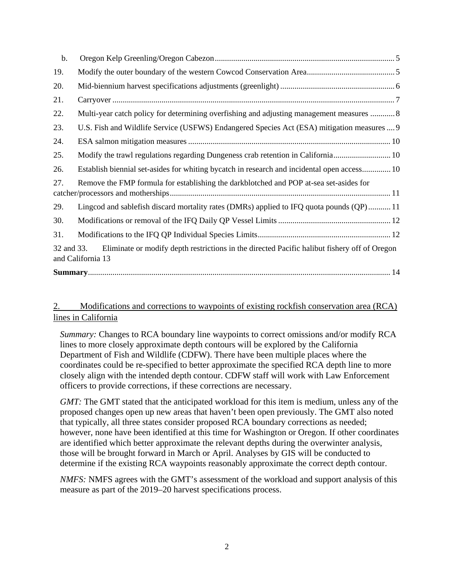| b.         |                                                                                                                   |
|------------|-------------------------------------------------------------------------------------------------------------------|
| 19.        |                                                                                                                   |
| 20.        |                                                                                                                   |
| 21.        |                                                                                                                   |
| 22.        | Multi-year catch policy for determining overfishing and adjusting management measures  8                          |
| 23.        | U.S. Fish and Wildlife Service (USFWS) Endangered Species Act (ESA) mitigation measures  9                        |
| 24.        |                                                                                                                   |
| 25.        |                                                                                                                   |
| 26.        | Establish biennial set-asides for whiting bycatch in research and incidental open access 10                       |
| 27.        | Remove the FMP formula for establishing the darkblotched and POP at-sea set-asides for                            |
| 29.        | Lingcod and sablefish discard mortality rates (DMRs) applied to IFQ quota pounds (QP) 11                          |
| 30.        |                                                                                                                   |
| 31.        |                                                                                                                   |
| 32 and 33. | Eliminate or modify depth restrictions in the directed Pacific halibut fishery off of Oregon<br>and California 13 |
|            |                                                                                                                   |

# <span id="page-1-0"></span>2. Modifications and corrections to waypoints of existing rockfish conservation area (RCA) lines in California

*Summary:* Changes to RCA boundary line waypoints to correct omissions and/or modify RCA lines to more closely approximate depth contours will be explored by the California Department of Fish and Wildlife (CDFW). There have been multiple places where the coordinates could be re-specified to better approximate the specified RCA depth line to more closely align with the intended depth contour. CDFW staff will work with Law Enforcement officers to provide corrections, if these corrections are necessary.

*GMT*: The GMT stated that the anticipated workload for this item is medium, unless any of the proposed changes open up new areas that haven't been open previously. The GMT also noted that typically, all three states consider proposed RCA boundary corrections as needed; however, none have been identified at this time for Washington or Oregon. If other coordinates are identified which better approximate the relevant depths during the overwinter analysis, those will be brought forward in March or April. Analyses by GIS will be conducted to determine if the existing RCA waypoints reasonably approximate the correct depth contour.

*NMFS:* NMFS agrees with the GMT's assessment of the workload and support analysis of this measure as part of the 2019–20 harvest specifications process.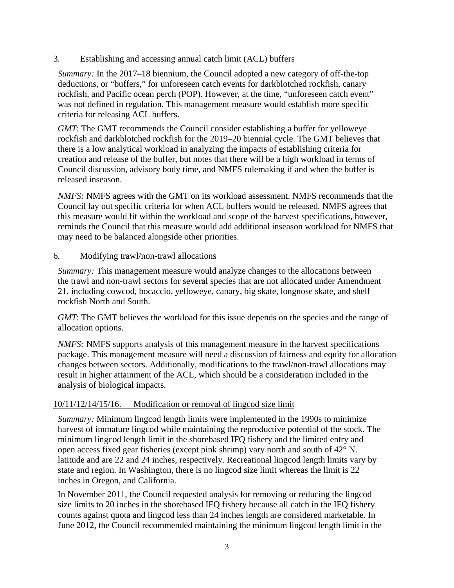### <span id="page-2-0"></span>3. Establishing and accessing annual catch limit (ACL) buffers

*Summary:* In the 2017–18 biennium, the Council adopted a new category of off-the-top deductions, or "buffers," for unforeseen catch events for darkblotched rockfish, canary rockfish, and Pacific ocean perch (POP). However, at the time, "unforeseen catch event" was not defined in regulation. This management measure would establish more specific criteria for releasing ACL buffers.

*GMT*: The GMT recommends the Council consider establishing a buffer for yelloweye rockfish and darkblotched rockfish for the 2019–20 biennial cycle. The GMT believes that there is a low analytical workload in analyzing the impacts of establishing criteria for creation and release of the buffer, but notes that there will be a high workload in terms of Council discussion, advisory body time, and NMFS rulemaking if and when the buffer is released inseason.

*NMFS:* NMFS agrees with the GMT on its workload assessment. NMFS recommends that the Council lay out specific criteria for when ACL buffers would be released. NMFS agrees that this measure would fit within the workload and scope of the harvest specifications, however, reminds the Council that this measure would add additional inseason workload for NMFS that may need to be balanced alongside other priorities.

### <span id="page-2-1"></span>6. Modifying trawl/non-trawl allocations

*Summary:* This management measure would analyze changes to the allocations between the trawl and non-trawl sectors for several species that are not allocated under Amendment 21, including cowcod, bocaccio, yelloweye, canary, big skate, longnose skate, and shelf rockfish North and South.

*GMT*: The GMT believes the workload for this issue depends on the species and the range of allocation options.

*NMFS:* NMFS supports analysis of this management measure in the harvest specifications package. This management measure will need a discussion of fairness and equity for allocation changes between sectors. Additionally, modifications to the trawl/non-trawl allocations may result in higher attainment of the ACL, which should be a consideration included in the analysis of biological impacts.

# <span id="page-2-2"></span>10/11/12/14/15/16. Modification or removal of lingcod size limit

*Summary:* Minimum lingcod length limits were implemented in the 1990s to minimize harvest of immature lingcod while maintaining the reproductive potential of the stock. The minimum lingcod length limit in the shorebased IFQ fishery and the limited entry and open access fixed gear fisheries (except pink shrimp) vary north and south of 42° N. latitude and are 22 and 24 inches, respectively. Recreational lingcod length limits vary by state and region. In Washington, there is no lingcod size limit whereas the limit is 22 inches in Oregon, and California.

In November 2011, the Council requested analysis for removing or reducing the lingcod size limits to 20 inches in the shorebased IFQ fishery because all catch in the IFQ fishery counts against quota and lingcod less than 24 inches length are considered marketable. In June 2012, the Council recommended maintaining the minimum lingcod length limit in the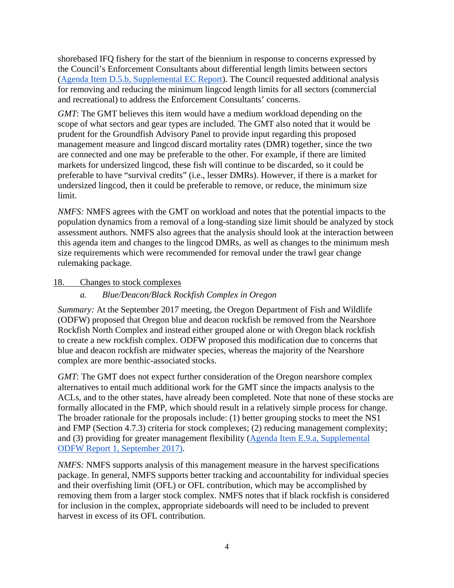shorebased IFQ fishery for the start of the biennium in response to concerns expressed by the Council's Enforcement Consultants about differential length limits between sectors [\(Agenda Item D.5.b, Supplemental EC Report\)](http://www.pcouncil.org/wp-content/uploads/D5b_SUP_EC_JUN2012BB.pdf). The Council requested additional analysis for removing and reducing the minimum lingcod length limits for all sectors (commercial and recreational) to address the Enforcement Consultants' concerns.

*GMT*: The GMT believes this item would have a medium workload depending on the scope of what sectors and gear types are included. The GMT also noted that it would be prudent for the Groundfish Advisory Panel to provide input regarding this proposed management measure and lingcod discard mortality rates (DMR) together, since the two are connected and one may be preferable to the other. For example, if there are limited markets for undersized lingcod, these fish will continue to be discarded, so it could be preferable to have "survival credits" (i.e., lesser DMRs). However, if there is a market for undersized lingcod, then it could be preferable to remove, or reduce, the minimum size limit.

*NMFS:* NMFS agrees with the GMT on workload and notes that the potential impacts to the population dynamics from a removal of a long-standing size limit should be analyzed by stock assessment authors. NMFS also agrees that the analysis should look at the interaction between this agenda item and changes to the lingcod DMRs, as well as changes to the minimum mesh size requirements which were recommended for removal under the trawl gear change rulemaking package.

### <span id="page-3-1"></span><span id="page-3-0"></span>18. Changes to stock complexes

# *a. Blue/Deacon/Black Rockfish Complex in Oregon*

*Summary:* At the September 2017 meeting, the Oregon Department of Fish and Wildlife (ODFW) proposed that Oregon blue and deacon rockfish be removed from the Nearshore Rockfish North Complex and instead either grouped alone or with Oregon black rockfish to create a new rockfish complex. ODFW proposed this modification due to concerns that blue and deacon rockfish are midwater species, whereas the majority of the Nearshore complex are more benthic-associated stocks.

*GMT*: The GMT does not expect further consideration of the Oregon nearshore complex alternatives to entail much additional work for the GMT since the impacts analysis to the ACLs, and to the other states, have already been completed. Note that none of these stocks are formally allocated in the FMP, which should result in a relatively simple process for change. The broader rationale for the proposals include: (1) better grouping stocks to meet the NS1 and FMP (Section 4.7.3) criteria for stock complexes; (2) reducing management complexity; and (3) providing for greater management flexibility [\(Agenda Item E.9.a, Supplemental](https://www.pcouncil.org/wp-content/uploads/2017/09/E9a_Sup_ODFW_Rpt1_SEPT2017BB.pdf)  [ODFW Report 1, September 2017\).](https://www.pcouncil.org/wp-content/uploads/2017/09/E9a_Sup_ODFW_Rpt1_SEPT2017BB.pdf)

*NMFS:* NMFS supports analysis of this management measure in the harvest specifications package. In general, NMFS supports better tracking and accountability for individual species and their overfishing limit (OFL) or OFL contribution, which may be accomplished by removing them from a larger stock complex. NMFS notes that if black rockfish is considered for inclusion in the complex, appropriate sideboards will need to be included to prevent harvest in excess of its OFL contribution.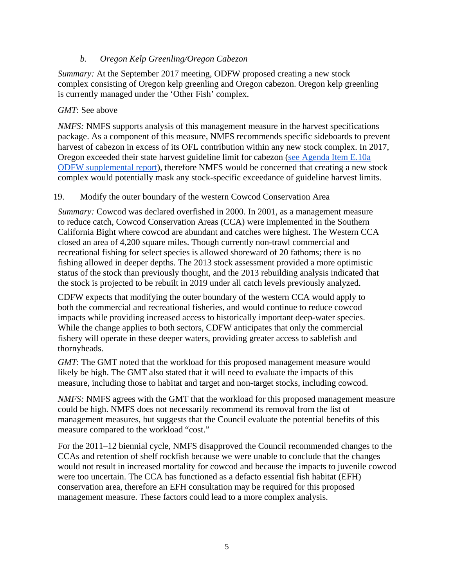# *b. Oregon Kelp Greenling/Oregon Cabezon*

<span id="page-4-0"></span>*Summary:* At the September 2017 meeting, ODFW proposed creating a new stock complex consisting of Oregon kelp greenling and Oregon cabezon. Oregon kelp greenling is currently managed under the 'Other Fish' complex.

## *GMT*: See above

*NMFS:* NMFS supports analysis of this management measure in the harvest specifications package. As a component of this measure, NMFS recommends specific sideboards to prevent harvest of cabezon in excess of its OFL contribution within any new stock complex. In 2017, Oregon exceeded their state harvest guideline limit for cabezon [\(see Agenda Item E.10a](http://www.pcouncil.org/wp-content/uploads/2017/09/E10a_Sup_REVISED_ODFW_Rpt1_SEPT2017BB.pdf)  [ODFW supplemental report\)](http://www.pcouncil.org/wp-content/uploads/2017/09/E10a_Sup_REVISED_ODFW_Rpt1_SEPT2017BB.pdf), therefore NMFS would be concerned that creating a new stock complex would potentially mask any stock-specific exceedance of guideline harvest limits.

### <span id="page-4-1"></span>19. Modify the outer boundary of the western Cowcod Conservation Area

*Summary:* Cowcod was declared overfished in 2000. In 2001, as a management measure to reduce catch, Cowcod Conservation Areas (CCA) were implemented in the Southern California Bight where cowcod are abundant and catches were highest. The Western CCA closed an area of 4,200 square miles. Though currently non-trawl commercial and recreational fishing for select species is allowed shoreward of 20 fathoms; there is no fishing allowed in deeper depths. The 2013 stock assessment provided a more optimistic status of the stock than previously thought, and the 2013 rebuilding analysis indicated that the stock is projected to be rebuilt in 2019 under all catch levels previously analyzed.

CDFW expects that modifying the outer boundary of the western CCA would apply to both the commercial and recreational fisheries, and would continue to reduce cowcod impacts while providing increased access to historically important deep-water species. While the change applies to both sectors, CDFW anticipates that only the commercial fishery will operate in these deeper waters, providing greater access to sablefish and thornyheads.

*GMT*: The GMT noted that the workload for this proposed management measure would likely be high. The GMT also stated that it will need to evaluate the impacts of this measure, including those to habitat and target and non-target stocks, including cowcod.

*NMFS:* NMFS agrees with the GMT that the workload for this proposed management measure could be high. NMFS does not necessarily recommend its removal from the list of management measures, but suggests that the Council evaluate the potential benefits of this measure compared to the workload "cost."

For the 2011–12 biennial cycle, NMFS disapproved the Council recommended changes to the CCAs and retention of shelf rockfish because we were unable to conclude that the changes would not result in increased mortality for cowcod and because the impacts to juvenile cowcod were too uncertain. The CCA has functioned as a defacto essential fish habitat (EFH) conservation area, therefore an EFH consultation may be required for this proposed management measure. These factors could lead to a more complex analysis.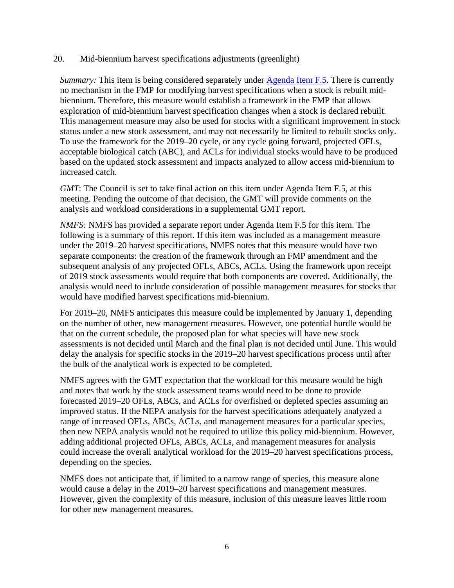#### <span id="page-5-0"></span>20. Mid-biennium harvest specifications adjustments (greenlight)

*Summary:* This item is being considered separately under [Agenda Item F.5.](http://www.pcouncil.org/wp-content/uploads/2017/10/F5__SitSum_GreenLight_NOV2017BB.pdf) There is currently no mechanism in the FMP for modifying harvest specifications when a stock is rebuilt midbiennium. Therefore, this measure would establish a framework in the FMP that allows exploration of mid-biennium harvest specification changes when a stock is declared rebuilt. This management measure may also be used for stocks with a significant improvement in stock status under a new stock assessment, and may not necessarily be limited to rebuilt stocks only. To use the framework for the 2019–20 cycle, or any cycle going forward, projected OFLs, acceptable biological catch (ABC), and ACLs for individual stocks would have to be produced based on the updated stock assessment and impacts analyzed to allow access mid-biennium to increased catch.

*GMT*: The Council is set to take final action on this item under Agenda Item F.5, at this meeting. Pending the outcome of that decision, the GMT will provide comments on the analysis and workload considerations in a supplemental GMT report.

*NMFS:* NMFS has provided a separate report under Agenda Item F.5 for this item. The following is a summary of this report. If this item was included as a management measure under the 2019–20 harvest specifications, NMFS notes that this measure would have two separate components: the creation of the framework through an FMP amendment and the subsequent analysis of any projected OFLs, ABCs, ACLs. Using the framework upon receipt of 2019 stock assessments would require that both components are covered. Additionally, the analysis would need to include consideration of possible management measures for stocks that would have modified harvest specifications mid-biennium.

For 2019–20, NMFS anticipates this measure could be implemented by January 1, depending on the number of other, new management measures. However, one potential hurdle would be that on the current schedule, the proposed plan for what species will have new stock assessments is not decided until March and the final plan is not decided until June. This would delay the analysis for specific stocks in the 2019–20 harvest specifications process until after the bulk of the analytical work is expected to be completed.

NMFS agrees with the GMT expectation that the workload for this measure would be high and notes that work by the stock assessment teams would need to be done to provide forecasted 2019–20 OFLs, ABCs, and ACLs for overfished or depleted species assuming an improved status. If the NEPA analysis for the harvest specifications adequately analyzed a range of increased OFLs, ABCs, ACLs, and management measures for a particular species, then new NEPA analysis would not be required to utilize this policy mid-biennium. However, adding additional projected OFLs, ABCs, ACLs, and management measures for analysis could increase the overall analytical workload for the 2019–20 harvest specifications process, depending on the species.

NMFS does not anticipate that, if limited to a narrow range of species, this measure alone would cause a delay in the 2019–20 harvest specifications and management measures. However, given the complexity of this measure, inclusion of this measure leaves little room for other new management measures.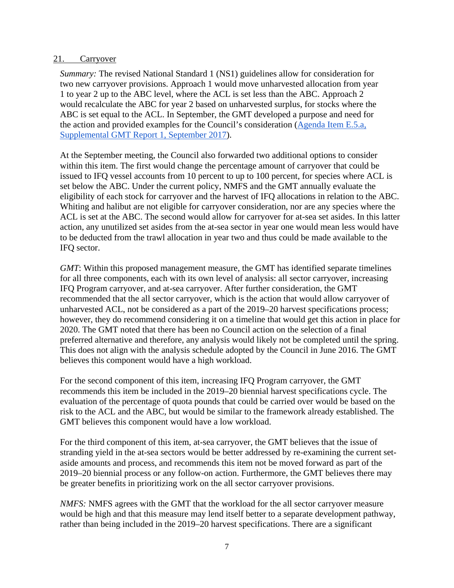#### <span id="page-6-0"></span>21. Carryover

*Summary:* The revised National Standard 1 (NS1) guidelines allow for consideration for two new carryover provisions. Approach 1 would move unharvested allocation from year 1 to year 2 up to the ABC level, where the ACL is set less than the ABC. Approach 2 would recalculate the ABC for year 2 based on unharvested surplus, for stocks where the ABC is set equal to the ACL. In September, the GMT developed a purpose and need for the action and provided examples for the Council's consideration [\(Agenda Item E.5.a,](http://www.pcouncil.org/wp-content/uploads/2017/09/E5a_Sup_GMT_Rpt1_SEPT2017BB.pdf)  [Supplemental GMT Report 1, September 2017\)](http://www.pcouncil.org/wp-content/uploads/2017/09/E5a_Sup_GMT_Rpt1_SEPT2017BB.pdf).

At the September meeting, the Council also forwarded two additional options to consider within this item. The first would change the percentage amount of carryover that could be issued to IFQ vessel accounts from 10 percent to up to 100 percent, for species where ACL is set below the ABC. Under the current policy, NMFS and the GMT annually evaluate the eligibility of each stock for carryover and the harvest of IFQ allocations in relation to the ABC. Whiting and halibut are not eligible for carryover consideration, nor are any species where the ACL is set at the ABC. The second would allow for carryover for at-sea set asides. In this latter action, any unutilized set asides from the at-sea sector in year one would mean less would have to be deducted from the trawl allocation in year two and thus could be made available to the IFQ sector.

*GMT*: Within this proposed management measure, the GMT has identified separate timelines for all three components, each with its own level of analysis: all sector carryover, increasing IFQ Program carryover, and at-sea carryover. After further consideration, the GMT recommended that the all sector carryover, which is the action that would allow carryover of unharvested ACL, not be considered as a part of the 2019–20 harvest specifications process; however, they do recommend considering it on a timeline that would get this action in place for 2020. The GMT noted that there has been no Council action on the selection of a final preferred alternative and therefore, any analysis would likely not be completed until the spring. This does not align with the analysis schedule adopted by the Council in June 2016. The GMT believes this component would have a high workload.

For the second component of this item, increasing IFQ Program carryover, the GMT recommends this item be included in the 2019–20 biennial harvest specifications cycle. The evaluation of the percentage of quota pounds that could be carried over would be based on the risk to the ACL and the ABC, but would be similar to the framework already established. The GMT believes this component would have a low workload.

For the third component of this item, at-sea carryover, the GMT believes that the issue of stranding yield in the at-sea sectors would be better addressed by re-examining the current setaside amounts and process, and recommends this item not be moved forward as part of the 2019–20 biennial process or any follow-on action. Furthermore, the GMT believes there may be greater benefits in prioritizing work on the all sector carryover provisions.

*NMFS:* NMFS agrees with the GMT that the workload for the all sector carryover measure would be high and that this measure may lend itself better to a separate development pathway, rather than being included in the 2019–20 harvest specifications. There are a significant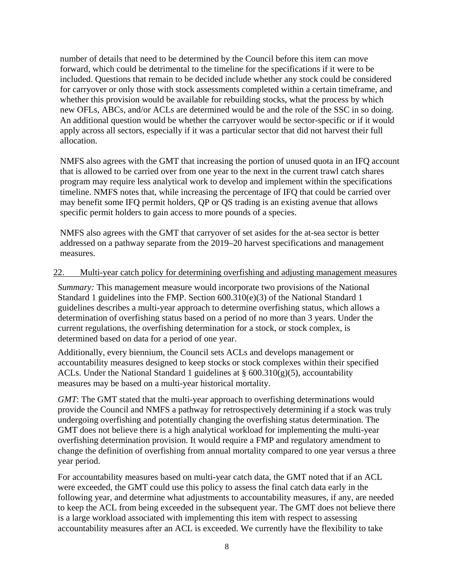number of details that need to be determined by the Council before this item can move forward, which could be detrimental to the timeline for the specifications if it were to be included. Questions that remain to be decided include whether any stock could be considered for carryover or only those with stock assessments completed within a certain timeframe, and whether this provision would be available for rebuilding stocks, what the process by which new OFLs, ABCs, and/or ACLs are determined would be and the role of the SSC in so doing. An additional question would be whether the carryover would be sector-specific or if it would apply across all sectors, especially if it was a particular sector that did not harvest their full allocation.

NMFS also agrees with the GMT that increasing the portion of unused quota in an IFQ account that is allowed to be carried over from one year to the next in the current trawl catch shares program may require less analytical work to develop and implement within the specifications timeline. NMFS notes that, while increasing the percentage of IFQ that could be carried over may benefit some IFQ permit holders, QP or QS trading is an existing avenue that allows specific permit holders to gain access to more pounds of a species.

NMFS also agrees with the GMT that carryover of set asides for the at-sea sector is better addressed on a pathway separate from the 2019–20 harvest specifications and management measures.

#### <span id="page-7-0"></span>22. Multi-year catch policy for determining overfishing and adjusting management measures

*Summary:* This management measure would incorporate two provisions of the National Standard 1 guidelines into the FMP. Section 600.310(e)(3) of the National Standard 1 guidelines describes a multi-year approach to determine overfishing status, which allows a determination of overfishing status based on a period of no more than 3 years. Under the current regulations, the overfishing determination for a stock, or stock complex, is determined based on data for a period of one year.

Additionally, every biennium, the Council sets ACLs and develops management or accountability measures designed to keep stocks or stock complexes within their specified ACLs. Under the National Standard 1 guidelines at  $\S$  600.310(g)(5), accountability measures may be based on a multi-year historical mortality.

*GMT*: The GMT stated that the multi-year approach to overfishing determinations would provide the Council and NMFS a pathway for retrospectively determining if a stock was truly undergoing overfishing and potentially changing the overfishing status determination. The GMT does not believe there is a high analytical workload for implementing the multi-year overfishing determination provision. It would require a FMP and regulatory amendment to change the definition of overfishing from annual mortality compared to one year versus a three year period.

For accountability measures based on multi-year catch data, the GMT noted that if an ACL were exceeded, the GMT could use this policy to assess the final catch data early in the following year, and determine what adjustments to accountability measures, if any, are needed to keep the ACL from being exceeded in the subsequent year. The GMT does not believe there is a large workload associated with implementing this item with respect to assessing accountability measures after an ACL is exceeded. We currently have the flexibility to take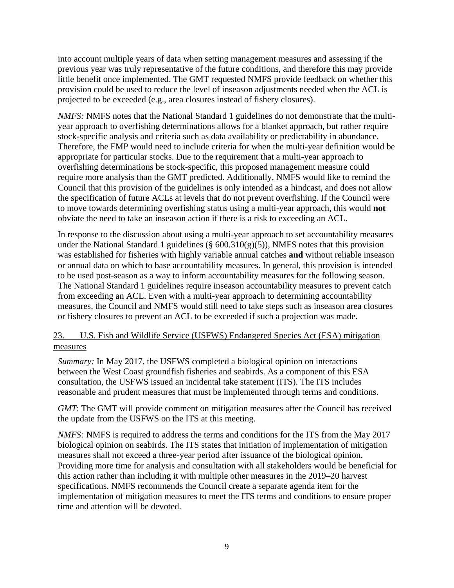into account multiple years of data when setting management measures and assessing if the previous year was truly representative of the future conditions, and therefore this may provide little benefit once implemented. The GMT requested NMFS provide feedback on whether this provision could be used to reduce the level of inseason adjustments needed when the ACL is projected to be exceeded (e.g., area closures instead of fishery closures).

*NMFS:* NMFS notes that the National Standard 1 guidelines do not demonstrate that the multiyear approach to overfishing determinations allows for a blanket approach, but rather require stock-specific analysis and criteria such as data availability or predictability in abundance. Therefore, the FMP would need to include criteria for when the multi-year definition would be appropriate for particular stocks. Due to the requirement that a multi-year approach to overfishing determinations be stock-specific, this proposed management measure could require more analysis than the GMT predicted. Additionally, NMFS would like to remind the Council that this provision of the guidelines is only intended as a hindcast, and does not allow the specification of future ACLs at levels that do not prevent overfishing. If the Council were to move towards determining overfishing status using a multi-year approach, this would **not** obviate the need to take an inseason action if there is a risk to exceeding an ACL.

In response to the discussion about using a multi-year approach to set accountability measures under the National Standard 1 guidelines ( $\S$  600.310(g)(5)), NMFS notes that this provision was established for fisheries with highly variable annual catches **and** without reliable inseason or annual data on which to base accountability measures. In general, this provision is intended to be used post-season as a way to inform accountability measures for the following season. The National Standard 1 guidelines require inseason accountability measures to prevent catch from exceeding an ACL. Even with a multi-year approach to determining accountability measures, the Council and NMFS would still need to take steps such as inseason area closures or fishery closures to prevent an ACL to be exceeded if such a projection was made.

# <span id="page-8-0"></span>23. U.S. Fish and Wildlife Service (USFWS) Endangered Species Act (ESA) mitigation measures

*Summary:* In May 2017, the USFWS completed a biological opinion on interactions between the West Coast groundfish fisheries and seabirds. As a component of this ESA consultation, the USFWS issued an incidental take statement (ITS). The ITS includes reasonable and prudent measures that must be implemented through terms and conditions.

*GMT*: The GMT will provide comment on mitigation measures after the Council has received the update from the USFWS on the ITS at this meeting.

*NMFS:* NMFS is required to address the terms and conditions for the ITS from the May 2017 biological opinion on seabirds. The ITS states that initiation of implementation of mitigation measures shall not exceed a three-year period after issuance of the biological opinion. Providing more time for analysis and consultation with all stakeholders would be beneficial for this action rather than including it with multiple other measures in the 2019–20 harvest specifications. NMFS recommends the Council create a separate agenda item for the implementation of mitigation measures to meet the ITS terms and conditions to ensure proper time and attention will be devoted.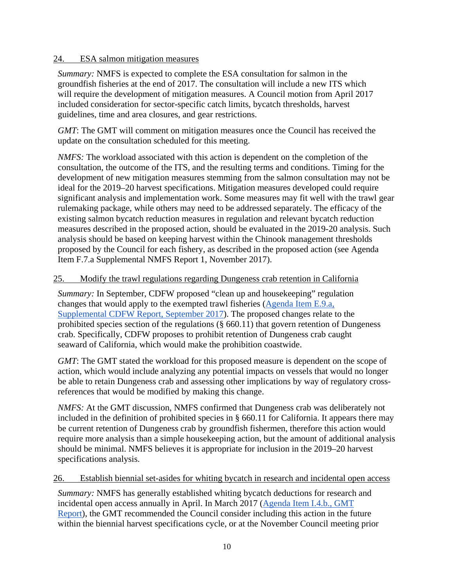### <span id="page-9-0"></span>24. ESA salmon mitigation measures

*Summary:* NMFS is expected to complete the ESA consultation for salmon in the groundfish fisheries at the end of 2017. The consultation will include a new ITS which will require the development of mitigation measures. A Council motion from April 2017 included consideration for sector-specific catch limits, bycatch thresholds, harvest guidelines, time and area closures, and gear restrictions.

*GMT*: The GMT will comment on mitigation measures once the Council has received the update on the consultation scheduled for this meeting.

*NMFS:* The workload associated with this action is dependent on the completion of the consultation, the outcome of the ITS, and the resulting terms and conditions. Timing for the development of new mitigation measures stemming from the salmon consultation may not be ideal for the 2019–20 harvest specifications. Mitigation measures developed could require significant analysis and implementation work. Some measures may fit well with the trawl gear rulemaking package, while others may need to be addressed separately. The efficacy of the existing salmon bycatch reduction measures in regulation and relevant bycatch reduction measures described in the proposed action, should be evaluated in the 2019-20 analysis. Such analysis should be based on keeping harvest within the Chinook management thresholds proposed by the Council for each fishery, as described in the proposed action (see Agenda Item F.7.a Supplemental NMFS Report 1, November 2017).

### <span id="page-9-1"></span>25. Modify the trawl regulations regarding Dungeness crab retention in California

*Summary:* In September, CDFW proposed "clean up and housekeeping" regulation changes that would apply to the exempted trawl fisheries [\(Agenda Item E.9.a,](https://www.pcouncil.org/wp-content/uploads/2017/09/E9a_Sup_CDFW_Rpt1_Spex_SEPT2017BB.pdf)  [Supplemental CDFW Report, September 2017\)](https://www.pcouncil.org/wp-content/uploads/2017/09/E9a_Sup_CDFW_Rpt1_Spex_SEPT2017BB.pdf). The proposed changes relate to the prohibited species section of the regulations (§ 660.11) that govern retention of Dungeness crab. Specifically, CDFW proposes to prohibit retention of Dungeness crab caught seaward of California, which would make the prohibition coastwide.

*GMT*: The GMT stated the workload for this proposed measure is dependent on the scope of action, which would include analyzing any potential impacts on vessels that would no longer be able to retain Dungeness crab and assessing other implications by way of regulatory crossreferences that would be modified by making this change.

*NMFS:* At the GMT discussion, NMFS confirmed that Dungeness crab was deliberately not included in the definition of prohibited species in § 660.11 for California. It appears there may be current retention of Dungeness crab by groundfish fishermen, therefore this action would require more analysis than a simple housekeeping action, but the amount of additional analysis should be minimal. NMFS believes it is appropriate for inclusion in the 2019–20 harvest specifications analysis.

### <span id="page-9-2"></span>26. Establish biennial set-asides for whiting bycatch in research and incidental open access

*Summary:* NMFS has generally established whiting bycatch deductions for research and incidental open access annually in April. In March 2017 [\(Agenda Item I.4.b., GMT](http://www.pcouncil.org/wp-content/uploads/2017/02/I4b_GMT_Rpt_Mar2017BB.pdf)  [Report\)](http://www.pcouncil.org/wp-content/uploads/2017/02/I4b_GMT_Rpt_Mar2017BB.pdf), the GMT recommended the Council consider including this action in the future within the biennial harvest specifications cycle, or at the November Council meeting prior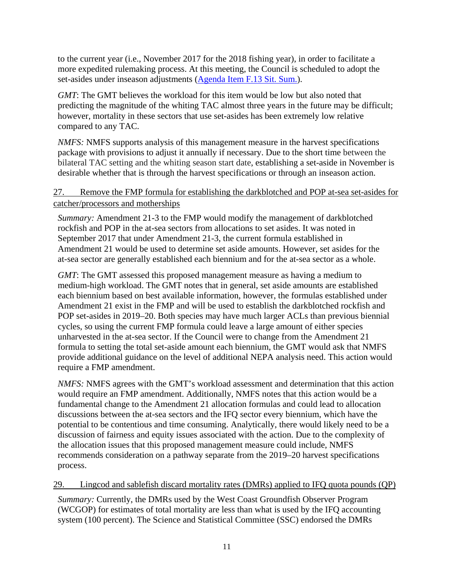to the current year (i.e., November 2017 for the 2018 fishing year), in order to facilitate a more expedited rulemaking process. At this meeting, the Council is scheduled to adopt the set-asides under inseason adjustments [\(Agenda Item F.13 Sit. Sum.\)](http://www.pcouncil.org/wp-content/uploads/2017/10/F13__SitSum_Inseason_NOV2017BB.pdf).

*GMT*: The GMT believes the workload for this item would be low but also noted that predicting the magnitude of the whiting TAC almost three years in the future may be difficult; however, mortality in these sectors that use set-asides has been extremely low relative compared to any TAC.

*NMFS:* NMFS supports analysis of this management measure in the harvest specifications package with provisions to adjust it annually if necessary. Due to the short time between the bilateral TAC setting and the whiting season start date, establishing a set-aside in November is desirable whether that is through the harvest specifications or through an inseason action.

# <span id="page-10-0"></span>27. Remove the FMP formula for establishing the darkblotched and POP at-sea set-asides for catcher/processors and motherships

*Summary:* Amendment 21-3 to the FMP would modify the management of darkblotched rockfish and POP in the at-sea sectors from allocations to set asides. It was noted in September 2017 that under Amendment 21-3, the current formula established in Amendment 21 would be used to determine set aside amounts. However, set asides for the at-sea sector are generally established each biennium and for the at-sea sector as a whole.

*GMT*: The GMT assessed this proposed management measure as having a medium to medium-high workload. The GMT notes that in general, set aside amounts are established each biennium based on best available information, however, the formulas established under Amendment 21 exist in the FMP and will be used to establish the darkblotched rockfish and POP set-asides in 2019–20. Both species may have much larger ACLs than previous biennial cycles, so using the current FMP formula could leave a large amount of either species unharvested in the at-sea sector. If the Council were to change from the Amendment 21 formula to setting the total set-aside amount each biennium, the GMT would ask that NMFS provide additional guidance on the level of additional NEPA analysis need. This action would require a FMP amendment.

*NMFS:* NMFS agrees with the GMT's workload assessment and determination that this action would require an FMP amendment. Additionally, NMFS notes that this action would be a fundamental change to the Amendment 21 allocation formulas and could lead to allocation discussions between the at-sea sectors and the IFQ sector every biennium, which have the potential to be contentious and time consuming. Analytically, there would likely need to be a discussion of fairness and equity issues associated with the action. Due to the complexity of the allocation issues that this proposed management measure could include, NMFS recommends consideration on a pathway separate from the 2019–20 harvest specifications process.

### <span id="page-10-1"></span>29. Lingcod and sablefish discard mortality rates (DMRs) applied to IFQ quota pounds (QP)

*Summary:* Currently, the DMRs used by the West Coast Groundfish Observer Program (WCGOP) for estimates of total mortality are less than what is used by the IFQ accounting system (100 percent). The Science and Statistical Committee (SSC) endorsed the DMRs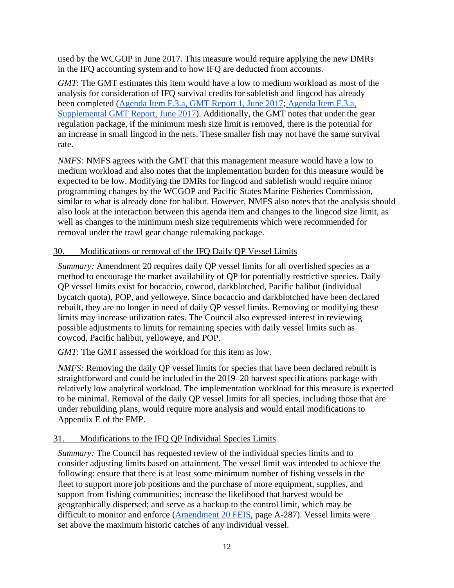used by the WCGOP in June 2017. This measure would require applying the new DMRs in the IFQ accounting system and to how IFQ are deducted from accounts.

*GMT*: The GMT estimates this item would have a low to medium workload as most of the analysis for consideration of IFQ survival credits for sablefish and lingcod has already been completed [\(Agenda Item F.3.a, GMT Report 1, June 2017;](https://www.pcouncil.org/wp-content/uploads/2017/05/F3a_GMT_Rpt1_DiscardMortality_JUNE2017BB.pdf) [Agenda Item F.3.a,](https://www.pcouncil.org/wp-content/uploads/2017/06/F3a_Sup_GMT_Rpt_Jun2017BB.pdf)  [Supplemental GMT Report, June 2017\)](https://www.pcouncil.org/wp-content/uploads/2017/06/F3a_Sup_GMT_Rpt_Jun2017BB.pdf). Additionally, the GMT notes that under the gear regulation package, if the minimum mesh size limit is removed, there is the potential for an increase in small lingcod in the nets. These smaller fish may not have the same survival rate.

*NMFS:* NMFS agrees with the GMT that this management measure would have a low to medium workload and also notes that the implementation burden for this measure would be expected to be low. Modifying the DMRs for lingcod and sablefish would require minor programming changes by the WCGOP and Pacific States Marine Fisheries Commission, similar to what is already done for halibut. However, NMFS also notes that the analysis should also look at the interaction between this agenda item and changes to the lingcod size limit, as well as changes to the minimum mesh size requirements which were recommended for removal under the trawl gear change rulemaking package.

# <span id="page-11-0"></span>30. Modifications or removal of the IFQ Daily QP Vessel Limits

*Summary:* Amendment 20 requires daily QP vessel limits for all overfished species as a method to encourage the market availability of QP for potentially restrictive species. Daily QP vessel limits exist for bocaccio, cowcod, darkblotched, Pacific halibut (individual bycatch quota), POP, and yelloweye. Since bocaccio and darkblotched have been declared rebuilt, they are no longer in need of daily QP vessel limits. Removing or modifying these limits may increase utilization rates. The Council also expressed interest in reviewing possible adjustments to limits for remaining species with daily vessel limits such as cowcod, Pacific halibut, yelloweye, and POP.

*GMT*: The GMT assessed the workload for this item as low.

*NMFS:* Removing the daily QP vessel limits for species that have been declared rebuilt is straightforward and could be included in the 2019–20 harvest specifications package with relatively low analytical workload. The implementation workload for this measure is expected to be minimal. Removal of the daily QP vessel limits for all species, including those that are under rebuilding plans, would require more analysis and would entail modifications to Appendix E of the FMP.

# <span id="page-11-1"></span>31. Modifications to the IFQ QP Individual Species Limits

*Summary:* The Council has requested review of the individual species limits and to consider adjusting limits based on attainment. The vessel limit was intended to achieve the following: ensure that there is at least some minimum number of fishing vessels in the fleet to support more job positions and the purchase of more equipment, supplies, and support from fishing communities; increase the likelihood that harvest would be geographically dispersed; and serve as a backup to the control limit, which may be difficult to monitor and enforce [\(Amendment 20 FEIS,](https://www.pcouncil.org/wp-content/uploads/2_1005_TRatFEIS_ApdxA__IFQ.pdf) page A-287). Vessel limits were set above the maximum historic catches of any individual vessel.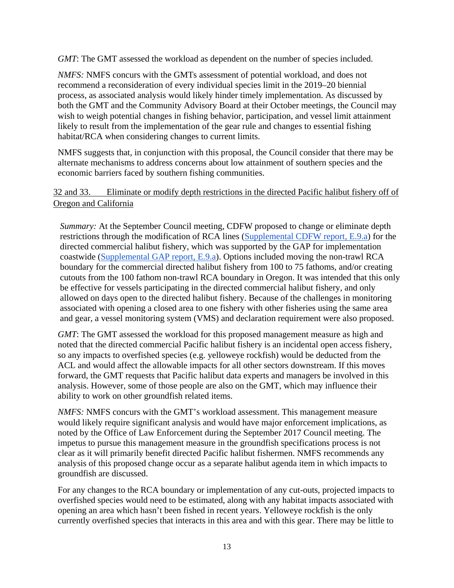*GMT*: The GMT assessed the workload as dependent on the number of species included.

*NMFS:* NMFS concurs with the GMTs assessment of potential workload, and does not recommend a reconsideration of every individual species limit in the 2019–20 biennial process, as associated analysis would likely hinder timely implementation. As discussed by both the GMT and the Community Advisory Board at their October meetings, the Council may wish to weigh potential changes in fishing behavior, participation, and vessel limit attainment likely to result from the implementation of the gear rule and changes to essential fishing habitat/RCA when considering changes to current limits.

NMFS suggests that, in conjunction with this proposal, the Council consider that there may be alternate mechanisms to address concerns about low attainment of southern species and the economic barriers faced by southern fishing communities.

# <span id="page-12-0"></span>32 and 33. Eliminate or modify depth restrictions in the directed Pacific halibut fishery off of Oregon and California

*Summary:* At the September Council meeting, CDFW proposed to change or eliminate depth restrictions through the modification of RCA lines [\(Supplemental CDFW report, E.9.a\)](http://www.pcouncil.org/wp-content/uploads/2017/09/E9a_Sup_CDFW_Rpt1_Spex_SEPT2017BB.pdf) for the directed commercial halibut fishery, which was supported by the GAP for implementation coastwide [\(Supplemental GAP report, E.9.a\)](http://www.pcouncil.org/wp-content/uploads/2017/09/E9a_Sup_GAP_Rpt1_SEPT2017BB.pdf). Options included moving the non-trawl RCA boundary for the commercial directed halibut fishery from 100 to 75 fathoms, and/or creating cutouts from the 100 fathom non-trawl RCA boundary in Oregon. It was intended that this only be effective for vessels participating in the directed commercial halibut fishery, and only allowed on days open to the directed halibut fishery. Because of the challenges in monitoring associated with opening a closed area to one fishery with other fisheries using the same area and gear, a vessel monitoring system (VMS) and declaration requirement were also proposed.

*GMT*: The GMT assessed the workload for this proposed management measure as high and noted that the directed commercial Pacific halibut fishery is an incidental open access fishery, so any impacts to overfished species (e.g. yelloweye rockfish) would be deducted from the ACL and would affect the allowable impacts for all other sectors downstream. If this moves forward, the GMT requests that Pacific halibut data experts and managers be involved in this analysis. However, some of those people are also on the GMT, which may influence their ability to work on other groundfish related items.

*NMFS:* NMFS concurs with the GMT's workload assessment. This management measure would likely require significant analysis and would have major enforcement implications, as noted by the Office of Law Enforcement during the September 2017 Council meeting. The impetus to pursue this management measure in the groundfish specifications process is not clear as it will primarily benefit directed Pacific halibut fishermen. NMFS recommends any analysis of this proposed change occur as a separate halibut agenda item in which impacts to groundfish are discussed.

For any changes to the RCA boundary or implementation of any cut-outs, projected impacts to overfished species would need to be estimated, along with any habitat impacts associated with opening an area which hasn't been fished in recent years. Yelloweye rockfish is the only currently overfished species that interacts in this area and with this gear. There may be little to